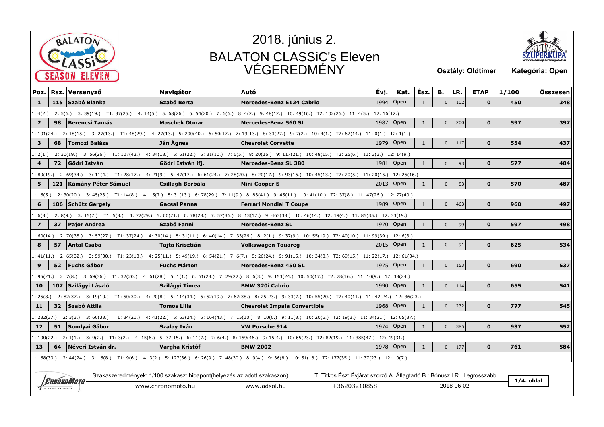



| Poz.                    |                                                                                                                                                             | Rsz. Versenyző          | <b>Navigátor</b>                                                         | Autó                                                                                                                                                         | Évj.       | Kat.            | Ész.         | В.             | LR.        | <b>ETAP</b>  | 1/100 | Összesen     |
|-------------------------|-------------------------------------------------------------------------------------------------------------------------------------------------------------|-------------------------|--------------------------------------------------------------------------|--------------------------------------------------------------------------------------------------------------------------------------------------------------|------------|-----------------|--------------|----------------|------------|--------------|-------|--------------|
| 1                       |                                                                                                                                                             | 115 Szabó Blanka        | Szabó Berta                                                              | <b>Mercedes-Benz E124 Cabrio</b>                                                                                                                             | 1994       | $\sqrt{O}$      | 1            | $\overline{0}$ | 102        | $\mathbf{0}$ | 450   | 348          |
| 1: 4(2.)                |                                                                                                                                                             |                         |                                                                          | 2: 5(6.) 3: 39(19.) T1: 37(25.) 4: 14(5.) 5: 68(26.) 6: 54(20.) 7: 6(6.) 8: 4(2.) 9: 48(12.) 10: 49(16.) T2: 102(26.) 11: 4(5.)                              | 12:16(12.) |                 |              |                |            |              |       |              |
| $\overline{2}$          | 98                                                                                                                                                          | Berencsi Tamás          | <b>Maschek Otmar</b>                                                     | Mercedes-Benz 560 SL                                                                                                                                         | 1987       | Open            | $\mathbf{1}$ | $\overline{0}$ | 200        | $\Omega$     | 597   | 397          |
|                         | 1: 101(24.) 2: 18(15.) 3: 27(13.) T1: 48(29.) 4: 27(13.) 5: 200(40.) 6: 50(17.) 7: 19(13.) 8: 33(27.) 9: 7(2.) 10: 4(1.) T2: 62(14.) 11: 0(1.) 12: 1(1.)    |                         |                                                                          |                                                                                                                                                              |            |                 |              |                |            |              |       |              |
| 3                       | 68                                                                                                                                                          | <b>Tomozi Balázs</b>    | Ján Agnes                                                                | <b>Chevrolet Corvette</b>                                                                                                                                    |            | 1979   Open     | $\mathbf{1}$ | $\overline{0}$ | 117        | $\mathbf{0}$ | 554   | 437          |
|                         | 2: 30(19.) 3: 56(26.) T1: 107(42.) 4: 34(18.) 5: 61(22.) 6: 31(10.) 7: 6(5.) 8: 20(16.) 9: 117(21.) 10: 48(15.) T2: 25(6.) 11: 3(3.) 12: 14(9.)<br>1:2(1.)  |                         |                                                                          |                                                                                                                                                              |            |                 |              |                |            |              |       |              |
| $\overline{\mathbf{4}}$ |                                                                                                                                                             | 72 Gödri István         | Gödri István ifj.                                                        | <b>Mercedes-Benz SL 380</b>                                                                                                                                  | 1981       | $\mathsf{Open}$ | $\mathbf{1}$ | 0              | 93         | $\mathbf{0}$ | 577   | 484          |
|                         | 1: 89(19.) 2: 69(34.) 3: 11(4.) T1: 28(17.) 4: 21(9.) 5: 47(17.) 6: 61(24.) 7: 28(20.) 8: 20(17.) 9: 93(16.) 10: 45(13.) T2: 20(5.) 11: 20(15.) 12: 25(16.) |                         |                                                                          |                                                                                                                                                              |            |                 |              |                |            |              |       |              |
| 5                       |                                                                                                                                                             | 121 Kámány Péter Sámuel | Csillagh Borbála                                                         | Mini Cooper S                                                                                                                                                |            | 2013   Open     | $\mathbf{1}$ | $\overline{0}$ | 83         | $\Omega$     | 570   | 487          |
|                         |                                                                                                                                                             |                         |                                                                          | 1: 16(5.) 2: 30(20.) 3: 45(23.) T1: 14(8.) 4: 15(7.) 5: 31(13.) 6: 78(29.) 7: 11(9.) 8: 83(41.) 9: 45(11.) 10: 41(10.) T2: 37(8.) 11: 47(26.) 12: 77(40.)    |            |                 |              |                |            |              |       |              |
| 6                       |                                                                                                                                                             | 106 Schütz Gergely      | <b>Gacsal Panna</b>                                                      | <b>Ferrari Mondial T Coupe</b>                                                                                                                               | 1989       | Open            | $\mathbf{1}$ | $\overline{0}$ | 463        | $\mathbf{0}$ | 960   | 497          |
|                         | 2: 8(9.) 3: 15(7.) T1: 5(3.) 4: 72(29.) 5: 60(21.) 6: 78(28.) 7: 57(36.) 8: 13(12.) 9: 463(38.) 10: 46(14.) T2: 19(4.) 11: 85(35.) 12: 33(19.)<br>1:6(3.)   |                         |                                                                          |                                                                                                                                                              |            |                 |              |                |            |              |       |              |
| $\overline{7}$          | 37                                                                                                                                                          | Pajor Andrea            | Szabó Fanni                                                              | <b>Mercedes-Benz SL</b>                                                                                                                                      |            | 1970   Open     | $\mathbf{1}$ | 0              | 99         | $\mathbf{0}$ | 597   | 498          |
|                         |                                                                                                                                                             |                         |                                                                          | 1:60(14.) 2:70(35.) 3:57(27.) T1:37(24.) 4:30(14.) 5:31(11.) 6:40(14.) 7:33(26.) 8:2(1.) 9:37(9.) 10:55(19.) T2:40(10.) 11:99(39.) 12:6(3.)                  |            |                 |              |                |            |              |       |              |
| 8                       | 57                                                                                                                                                          | Antal Csaba             | Tajta Krisztián                                                          | Volkswagen Touareg                                                                                                                                           |            | 2015 Open       | $\mathbf{1}$ | 0              | 91         | $\mathbf{0}$ | 625   | 534          |
|                         |                                                                                                                                                             |                         |                                                                          | 1:41(11.) 2:65(32.) 3:59(30.) T1:23(13.) 4:25(11.) 5:49(19.) 6:54(21.) 7:6(7.) 8:26(24.) 9:91(15.) 10:34(8.) T2:69(15.) 11:22(17.) 12:61(34.)                |            |                 |              |                |            |              |       |              |
| 9                       |                                                                                                                                                             | 52 Fuchs Gábor          | Fuchs Márton                                                             | Mercedes-Benz 450 SL                                                                                                                                         |            | 1975   Open     | $\mathbf{1}$ | $\overline{0}$ | 153        | $\Omega$     | 690   | 537          |
|                         |                                                                                                                                                             |                         |                                                                          | 1: 95(21.) 2: 7(8.) 3: 69(36.) T1: 32(20.) 4: 61(28.) 5: 1(1.) 6: 61(23.) 7: 29(22.) 8: 6(3.) 9: 153(24.) 10: 50(17.) T2: 78(16.) 11: 10(9.) 12: 38(24.)     |            |                 |              |                |            |              |       |              |
| 10                      |                                                                                                                                                             | 107 Szilágyi László     | Szilágyi Tímea                                                           | BMW 320i Cabrio                                                                                                                                              |            | 1990   Open     | $\mathbf{1}$ | 0 <sup>1</sup> | 114        | $\mathbf{0}$ | 655   | 541          |
|                         |                                                                                                                                                             |                         |                                                                          | 1: 25(8.) 2: 82(37.) 3: 19(10.) T1: 50(30.) 4: 20(8.) 5: 114(34.) 6: 52(19.) 7: 62(38.) 8: 25(23.) 9: 33(7.) 10: 55(20.) T2: 40(11.) 11: 42(24.) 12: 36(23.) |            |                 |              |                |            |              |       |              |
| 11                      |                                                                                                                                                             | 32 Szabó Attila         | <b>Tomos Lilla</b>                                                       | <b>Chevrolet Impala Convertible</b>                                                                                                                          |            | 1968   Open     | $\mathbf{1}$ | 0              | 232        | $\Omega$     | 777   | 545          |
|                         |                                                                                                                                                             |                         |                                                                          | 1: 232(37.) 2: 3(3.) 3: 66(33.) T1: 34(21.) 4: 41(22.) 5: 63(24.) 6: 164(43.) 7: 15(10.) 8: 10(6.) 9: 11(3.) 10: 20(6.) T2: 19(3.) 11: 34(21.) 12: 65(37.)   |            |                 |              |                |            |              |       |              |
| 12                      |                                                                                                                                                             | 51 Somlyai Gábor        | Szalay Iván                                                              | <b>VW Porsche 914</b>                                                                                                                                        |            | 1974   Open     | $\mathbf{1}$ | 0              | 385        | 0            | 937   | 552          |
|                         | 1: 100(22.) 2: 1(1.) 3: 9(2.) T1: 3(2.) 4: 15(6.) 5: 37(15.) 6: 11(7.) 7: 6(4.) 8: 159(46.) 9: 15(4.) 10: 65(23.) T2: 82(19.) 11: 385(47.) 12: 49(31.)      |                         |                                                                          |                                                                                                                                                              |            |                 |              |                |            |              |       |              |
| 13                      | 64                                                                                                                                                          | Néveri István dr.       | Vargha Kristóf                                                           | <b>BMW 2002</b>                                                                                                                                              |            | 1978 Open       | $\mathbf{1}$ | 0              | 177        | $\mathbf{0}$ | 761   | 584          |
|                         |                                                                                                                                                             |                         |                                                                          | 1: 168(33.) 2: 44(24.) 3: 16(8.) T1: 9(6.) 4: 3(2.) 5: 127(36.) 6: 26(9.) 7: 48(30.) 8: 9(4.) 9: 36(8.) 10: 51(18.) T2: 177(35.) 11: 37(23.) 12: 10(7.)      |            |                 |              |                |            |              |       |              |
|                         |                                                                                                                                                             |                         |                                                                          |                                                                                                                                                              |            |                 |              |                |            |              |       |              |
|                         |                                                                                                                                                             | Chrónomototo            | Szakaszeredmények: 1/100 szakasz: hibapont (helyezés az adott szakaszon) | T: Titkos Ész: Évjárat szorzó Á.:Átlagtartó B.: Bónusz LR.: Legrosszabb                                                                                      |            |                 |              |                |            |              |       | $1/4.$ oldal |
|                         | TIMING                                                                                                                                                      |                         | www.chronomoto.hu                                                        | +36203210858<br>www.adsol.hu                                                                                                                                 |            |                 |              |                | 2018-06-02 |              |       |              |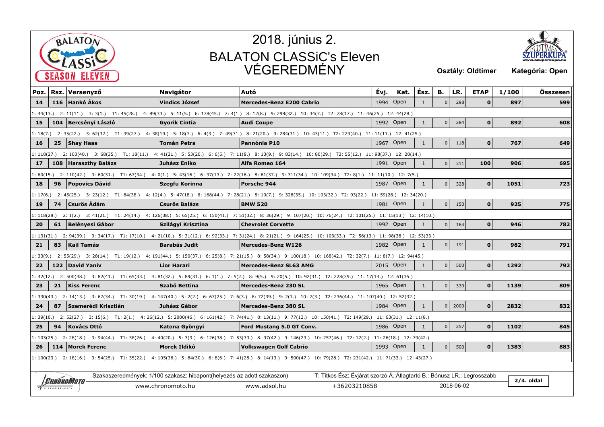



| Poz.     |                                                                                                                                                                   | Rsz. Versenyző        | <b>Navigátor</b>                                                         | Autó                                                                                                                                                              | Évj.      | Kat.        | Ész.         | В.             | LR.        | <b>ETAP</b>  | 1/100 | Összesen     |
|----------|-------------------------------------------------------------------------------------------------------------------------------------------------------------------|-----------------------|--------------------------------------------------------------------------|-------------------------------------------------------------------------------------------------------------------------------------------------------------------|-----------|-------------|--------------|----------------|------------|--------------|-------|--------------|
| 14       |                                                                                                                                                                   | 116 Hankó Ákos        | <b>Vindics József</b>                                                    | <b>Mercedes-Benz E200 Cabrio</b>                                                                                                                                  | 1994      | Open        | 1            | $\overline{0}$ | 298        | $\mathbf{0}$ | 897   | 599          |
|          | 1: 44(13.) 2: 11(11.) 3: 3(1.) T1: 45(28.) 4: 89(33.) 5: 11(5.) 6: 178(45.) 7: 4(1.) 8: 12(8.) 9: 298(32.) 10: 34(7.) T2: 78(17.) 11: 46(25.) 12: 44(28.)         |                       |                                                                          |                                                                                                                                                                   |           |             |              |                |            |              |       |              |
| 15       |                                                                                                                                                                   | 104 Bercsényi László  | <b>Gyorik Cintia</b>                                                     | <b>Audi Coupe</b>                                                                                                                                                 | 1992      | Open        | $\mathbf{1}$ | $\overline{0}$ | 284        | $\mathbf{O}$ | 892   | 608          |
| 1:18(7.) |                                                                                                                                                                   |                       |                                                                          | 2: 35(22.) 3: 62(32.) T1: 39(27.) 4: 38(19.) 5: 18(7.) 6: 4(3.) 7: 49(31.) 8: 21(20.) 9: 284(31.) 10: 43(11.) T2: 229(40.) 11: 11(11.) 12: 41(25.)                |           |             |              |                |            |              |       |              |
| 16       | 25                                                                                                                                                                | Shay Haas             | <b>Tomán Petra</b>                                                       | Pannónia P10                                                                                                                                                      | 1967      | Open        | $\mathbf{1}$ | $\overline{0}$ | 118        | $\mathbf 0$  | 767   | 649          |
|          |                                                                                                                                                                   |                       |                                                                          | 1: 118(27.) 2: 103(40.) 3: 68(35.) T1: 18(11.) 4: 41(21.) 5: 53(20.) 6: 6(5.) 7: 11(8.) 8: 13(9.) 9: 83(14.) 10: 80(29.) T2: 55(12.) 11: 98(37.) 12: 20(14.)      |           |             |              |                |            |              |       |              |
| 17       |                                                                                                                                                                   | 108 Haraszthy Balázs  | Juhász Eniko                                                             | Alfa Romeo 164                                                                                                                                                    | 1991      | Open        | 1            | $\overline{0}$ | 311        | 100          | 906   | 695          |
|          |                                                                                                                                                                   |                       |                                                                          | 1:60(15.) 2:110(42.) 3:60(31.) T1:67(34.) 4:0(1.) 5:43(16.) 6:37(13.) 7:22(16.) 8:61(37.) 9:311(34.) 10:109(34.) T2:8(1.) 11:11(10.) 12:7(5.)                     |           |             |              |                |            |              |       |              |
| 18       | 96                                                                                                                                                                | <b>Popovics Dávid</b> | Szegfu Korinna                                                           | Porsche 944                                                                                                                                                       | 1987      | Open        | $\mathbf{1}$ | $\overline{0}$ | 328        | $\mathbf{0}$ | 1051  | 723          |
| 1:17(6.) |                                                                                                                                                                   |                       |                                                                          | 2: 45(25.) 3: 23(12.) T1: 84(38.) 4: 12(4.) 5: 47(18.) 6: 168(44.) 7: 28(21.) 8: 10(7.) 9: 328(35.) 10: 103(32.) T2: 93(22.) 11: 59(28.) 12: 34(20.)              |           |             |              |                |            |              |       |              |
| 19       | 74                                                                                                                                                                | <b>Csurös Ádám</b>    | <b>Csurös Balázs</b>                                                     | <b>BMW 520</b>                                                                                                                                                    | 1981      | Open        | $\mathbf{1}$ | 0              | 150        | $\mathbf{0}$ | 925   | 775          |
|          | 1: 118(28.) 2: 1(2.) 3: 41(21.) T1: 24(14.) 4: 126(38.) 5: 65(25.) 6: 150(41.) 7: 51(32.) 8: 36(29.) 9: 107(20.) 10: 76(24.) T2: 101(25.) 11: 15(13.) 12: 14(10.) |                       |                                                                          |                                                                                                                                                                   |           |             |              |                |            |              |       |              |
| 20       | 61                                                                                                                                                                | Belényesi Gábor       | Szilágyi Krisztina                                                       | <b>Chevrolet Corvette</b>                                                                                                                                         |           | 1992   Open | $\mathbf{1}$ | 0              | 164        | $\Omega$     | 946   | 782          |
|          |                                                                                                                                                                   |                       |                                                                          | 1: 131(31.) 2: 94(39.) 3: 34(17.) T1: 17(10.) 4: 21(10.) 5: 31(12.) 6: 92(33.) 7: 31(24.) 8: 21(21.) 9: 164(25.) 10: 103(33.) T2: 56(13.) 11: 98(38.) 12: 53(33.) |           |             |              |                |            |              |       |              |
| 21       | 83                                                                                                                                                                | Kail Tamás            | <b>Barabás Judit</b>                                                     | <b>Mercedes-Benz W126</b>                                                                                                                                         | 1982 Open |             | $\mathbf{1}$ | $\overline{0}$ | 191        | $\Omega$     | 982   | 791          |
|          |                                                                                                                                                                   |                       |                                                                          | 1: 33(9.) 2: 55(29.) 3: 28(14.) T1: 19(12.) 4: 191(44.) 5: 150(37.) 6: 25(8.) 7: 21(15.) 8: 58(34.) 9: 100(18.) 10: 168(42.) T2: 32(7.) 11: 8(7.) 12: 94(45.)     |           |             |              |                |            |              |       |              |
| 22       |                                                                                                                                                                   | 122 David Yaniv       | <b>Lior Harari</b>                                                       | <b>Mercedes-Benz SL63 AMG</b>                                                                                                                                     |           | 2015   Open | $\mathbf{1}$ | $\Omega$       | 500        | $\mathbf{0}$ | 1292  | 792          |
|          |                                                                                                                                                                   |                       |                                                                          | 1:42(12.) 2:500(48.) 3:82(41.) T1:65(33.) 4:81(32.) 5:89(31.) 6:1(1.) 7:5(2.) 8:9(5.) 9:20(5.) 10:92(31.) T2:228(39.) 11:17(14.) 12:61(35.)                       |           |             |              |                |            |              |       |              |
| 23       | 21                                                                                                                                                                | <b>Kiss Ferenc</b>    | Szabó Bettina                                                            | Mercedes-Benz 230 SL                                                                                                                                              |           | 1965   Open | $\mathbf{1}$ | n l            | 330        | $\Omega$     | 1139  | 809          |
|          |                                                                                                                                                                   |                       |                                                                          | 1: 330(43.) 2: 14(13.) 3: 67(34.) T1: 30(19.) 4: 147(40.) 5: 2(2.) 6: 67(25.) 7: 6(3.) 8: 72(39.) 9: 2(1.) 10: 7(3.) T2: 236(44.) 11: 107(40.) 12: 52(32.)        |           |             |              |                |            |              |       |              |
| 24       | 87                                                                                                                                                                | Szemerédi Krisztián   | Juhász Gábor                                                             | Mercedes-Benz 380 SL                                                                                                                                              |           | 1984   Open | $\mathbf{1}$ | 0 <sup>1</sup> | 2000       | $\mathbf{0}$ | 2832  | 832          |
|          |                                                                                                                                                                   |                       |                                                                          | 1: 39(10.) 2: 52(27.) 3: 15(6.) T1: 2(1.) 4: 26(12.) 5: 2000(46.) 6: 161(42.) 7: 74(41.) 8: 13(11.) 9: 77(13.) 10: 150(41.) T2: 149(29.) 11: 63(31.) 12: 11(8.)   |           |             |              |                |            |              |       |              |
| 25       | 94                                                                                                                                                                | Kovács Ottó           | Katona Gyöngyi                                                           | <b>Ford Mustang 5.0 GT Conv.</b>                                                                                                                                  |           | 1986 Open   | $\mathbf{1}$ | 0              | 257        | $\Omega$     | 1102  | 845          |
|          |                                                                                                                                                                   |                       |                                                                          | 1: 103(25.) 2: 28(18.) 3: 94(44.) T1: 38(26.) 4: 40(20.) 5: 3(3.) 6: 126(38.) 7: 53(33.) 8: 97(42.) 9: 146(23.) 10: 257(46.) T2: 12(2.) 11: 26(18.) 12: 79(42.)   |           |             |              |                |            |              |       |              |
| 26       |                                                                                                                                                                   | 114   Morek Ferenc    | Morek Ildikó                                                             | Volkswagen Golf Cabrio                                                                                                                                            |           | 1993   Open | $\mathbf{1}$ | 0              | 500        | $\mathbf{0}$ | 1383  | 883          |
|          |                                                                                                                                                                   |                       |                                                                          | 1: 100(23.) 2: 18(16.) 3: 54(25.) T1: 35(22.) 4: 105(36.) 5: 84(30.) 6: 8(6.) 7: 41(28.) 8: 14(13.) 9: 500(47.) 10: 79(28.) T2: 231(42.) 11: 71(33.) 12: 43(27.)  |           |             |              |                |            |              |       |              |
|          |                                                                                                                                                                   |                       |                                                                          |                                                                                                                                                                   |           |             |              |                |            |              |       |              |
|          |                                                                                                                                                                   | Chrónomototo          | Szakaszeredmények: 1/100 szakasz: hibapont (helyezés az adott szakaszon) | T: Titkos Ész: Évjárat szorzó Á.: Átlagtartó B.: Bónusz LR.: Legrosszabb                                                                                          |           |             |              |                |            |              |       | $2/4.$ oldal |
|          | $7$ TIMING                                                                                                                                                        |                       | www.chronomoto.hu                                                        | +36203210858<br>www.adsol.hu                                                                                                                                      |           |             |              |                | 2018-06-02 |              |       |              |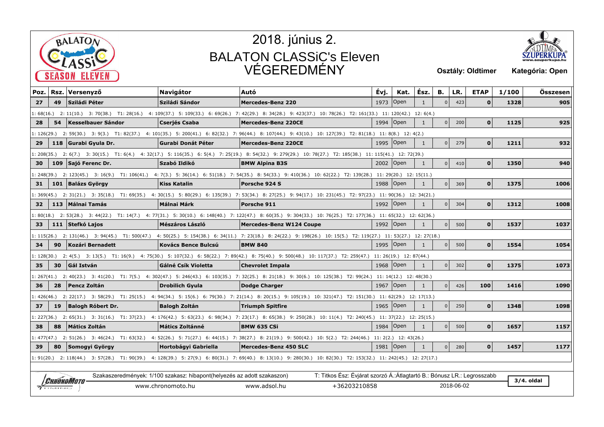



| Poz.        | Rsz.                                                                                                                                                              | Versenyző                | <b>Navigátor</b>                                                         | Autó                                                                                                                                                                | Évj.        | Kat.                   | Ész.         | в.             | LR.        | <b>ETAP</b>  | 1/100 | Összesen     |
|-------------|-------------------------------------------------------------------------------------------------------------------------------------------------------------------|--------------------------|--------------------------------------------------------------------------|---------------------------------------------------------------------------------------------------------------------------------------------------------------------|-------------|------------------------|--------------|----------------|------------|--------------|-------|--------------|
| 27          | 49                                                                                                                                                                | Sziládi Péter            | Sziládi Sándor                                                           | <b>Mercedes-Benz 220</b>                                                                                                                                            | 1973        | $\sqrt{O}$             | $\mathbf{1}$ | $\mathbf{0}$   | 423        | $\mathbf{0}$ | 1328  | 905          |
|             | l: 68(16.) 2: 11(10.) 3: 70(38.) T1: 28(16.) 4: 109(37.) 5: 109(33.) 6: 69(26.) 7: 42(29.) 8: 34(28.) 9: 423(37.) 10: 78(26.) T2: 161(33.) 11: 120(42.) 12: 6(4.) |                          |                                                                          |                                                                                                                                                                     |             |                        |              |                |            |              |       |              |
| 28          | 54                                                                                                                                                                | Kesselbauer Sándor       | Cserjés Csaba                                                            | Mercedes-Benz 220CE                                                                                                                                                 |             | 1994   Open            | $\mathbf{1}$ | 0              | 200        | $\mathbf{0}$ | 1125  | 925          |
|             | 1: 126(29.) 2: 59(30.) 3: 9(3.) T1: 82(37.) 4: 101(35.) 5: 200(41.) 6: 82(32.) 7: 96(44.) 8: 107(44.) 9: 43(10.) 10: 127(39.) T2: 81(18.) 11: 8(8.) 12: 4(2.)     |                          |                                                                          |                                                                                                                                                                     |             |                        |              |                |            |              |       |              |
| 29          |                                                                                                                                                                   | 118 Gurabi Gyula Dr.     | <b>Gurabi Donát Péter</b>                                                | Mercedes-Benz 220CE                                                                                                                                                 |             | 1995   Open            | 1            | 0 <sup>1</sup> | 279        | 0            | 1211  | 932          |
|             |                                                                                                                                                                   |                          |                                                                          | 1: 208(35.) 2: 6(7.) 3: 30(15.) T1: 6(4.) 4: 32(17.) 5: 116(35.) 6: 5(4.) 7: 25(19.) 8: 54(32.) 9: 279(29.) 10: 78(27.) T2: 185(38.) 11: 115(41.) 12: 72(39.)       |             |                        |              |                |            |              |       |              |
| 30          |                                                                                                                                                                   | 109 Sajó Ferenc Dr.      | Szabó Ildikó                                                             | <b>BMW Alpina B3S</b>                                                                                                                                               |             | 2002   Open            | 1            | $\overline{0}$ | 410        | $\mathbf{0}$ | 1350  | 940          |
|             |                                                                                                                                                                   |                          |                                                                          | 1: 248(39.) 2: 123(45.) 3: 16(9.) T1: 106(41.) 4: 7(3.) 5: 36(14.) 6: 51(18.) 7: 54(35.) 8: 54(33.) 9: 410(36.) 10: 62(22.) T2: 139(28.) 11: 29(20.) 12: 15(11.)    |             |                        |              |                |            |              |       |              |
| 31          |                                                                                                                                                                   | 101 Balázs György        | Kiss Katalin                                                             | Porsche 924 S                                                                                                                                                       |             | 1988   Open            | 1            | 0              | 369        | 0            | 1375  | 1006         |
|             |                                                                                                                                                                   |                          |                                                                          | 1: 369(45.) 2: 31(21.) 3: 35(18.) T1: 69(35.) 4: 30(15.) 5: 80(29.) 6: 135(39.) 7: 53(34.) 8: 27(25.) 9: 94(17.) 10: 231(45.) T2: 97(23.) 11: 90(36.) 12: 34(21.)   |             |                        |              |                |            |              |       |              |
| 32          |                                                                                                                                                                   | 113   Málnai Tamás       | Málnai Márk                                                              | Porsche 911                                                                                                                                                         | 1992   Open |                        | $\mathbf{1}$ | 0              | 304        | $\mathbf{0}$ | 1312  | 1008         |
|             |                                                                                                                                                                   |                          |                                                                          | 1: 80(18.) 2: 53(28.) 3: 44(22.) T1: 14(7.) 4: 77(31.) 5: 30(10.) 6: 148(40.) 7: 122(47.) 8: 60(35.) 9: 304(33.) 10: 76(25.) T2: 177(36.) 11: 65(32.) 12: 62(36.)   |             |                        |              |                |            |              |       |              |
| 33.         |                                                                                                                                                                   | 111 Stefkó Lajos         | <b>Mészáros László</b>                                                   | <b>Mercedes-Benz W124 Coupe</b>                                                                                                                                     | 1992   Open |                        | 1            | $\Omega$       | 500        | $\mathbf{0}$ | 1537  | 1037         |
|             |                                                                                                                                                                   |                          |                                                                          | 1: 115(26.) 2: 131(46.) 3: 94(45.) T1: 500(47.) 4: 50(25.) 5: 154(38.) 6: 34(11.) 7: 23(18.) 8: 24(22.) 9: 198(26.) 10: 15(5.) T2: 119(27.) 11: 53(27.) 12: 27(18.) |             |                        |              |                |            |              |       |              |
| 34          | 90                                                                                                                                                                | Kozári Bernadett         | <b>Kovács Bence Bulcsú</b>                                               | <b>BMW 840</b>                                                                                                                                                      | 1995   Open |                        | 1            | $\mathbf{0}$   | 500        | $\mathbf{0}$ | 1554  | 1054         |
|             |                                                                                                                                                                   |                          |                                                                          | 1: 128(30.) 2: 4(5.) 3: 13(5.) T1: 16(9.) 4: 75(30.) 5: 107(32.) 6: 58(22.) 7: 89(42.) 8: 75(40.) 9: 500(48.) 10: 117(37.) T2: 259(47.) 11: 26(19.) 12: 87(44.)     |             |                        |              |                |            |              |       |              |
| 35          | 30                                                                                                                                                                | Gál István               | Gálné Csík Violetta                                                      | <b>Chevrolet Impala</b>                                                                                                                                             | 1968   Open |                        | 1            | $\overline{0}$ | 302        | $\mathbf{0}$ | 1375  | 1073         |
| 1: 267(41.) |                                                                                                                                                                   |                          |                                                                          | 2: 40(23.) 3: 41(20.) T1: 7(5.) 4: 302(47.) 5: 246(43.) 6: 103(35.) 7: 32(25.) 8: 21(18.) 9: 30(6.) 10: 125(38.) T2: 99(24.) 11: 14(12.) 12: 48(30.)                |             |                        |              |                |            |              |       |              |
| 36          | 28                                                                                                                                                                | Pencz Zoltán             | <b>Drobilich Gyula</b>                                                   | Dodge Charger                                                                                                                                                       | 1967   Open |                        | 1            | $\overline{0}$ | 426        | 100          | 1416  | 1090         |
| 1: 426(46.) |                                                                                                                                                                   |                          |                                                                          | 2: 22(17.) 3: 58(29.) T1: 25(15.) 4: 94(34.) 5: 15(6.) 6: 79(30.) 7: 21(14.) 8: 20(15.) 9: 105(19.) 10: 321(47.) T2: 151(30.) 11: 62(29.) 12: 17(13.)               |             |                        |              |                |            |              |       |              |
| 37          | 19                                                                                                                                                                | <b>Balogh Róbert Dr.</b> | <b>Balogh Zoltán</b>                                                     | Triumph Spitfire                                                                                                                                                    |             | 1965   Open            | $\mathbf{1}$ | $\overline{0}$ | 250        | $\mathbf{0}$ | 1348  | 1098         |
|             |                                                                                                                                                                   |                          |                                                                          | 1: 227(36.) 2: 65(31.) 3: 31(16.) T1: 37(23.) 4: 176(42.) 5: 63(23.) 6: 98(34.) 7: 23(17.) 8: 65(38.) 9: 250(28.) 10: 11(4.) T2: 240(45.) 11: 37(22.) 12: 25(15.)   |             |                        |              |                |            |              |       |              |
| 38          | 88                                                                                                                                                                | Mátics Zoltán            | <b>Mátics Zoltánné</b>                                                   | <b>BMW 635 CSi</b>                                                                                                                                                  | 1984        | $\mathsf{Open}$        | 1            | $\overline{0}$ | 500        | $\mathbf{0}$ | 1657  | 1157         |
|             |                                                                                                                                                                   |                          |                                                                          | 1: 477(47.) 2: 51(26.) 3: 46(24.) T1: 63(32.) 4: 52(26.) 5: 71(27.) 6: 44(15.) 7: 38(27.) 8: 21(19.) 9: 500(42.) 10: 5(2.) T2: 244(46.)                             |             | $11:2(2.)$ 12: 43(26.) |              |                |            |              |       |              |
| 39          | 80                                                                                                                                                                | Somogyi György           | <b>Hortobágyi Gabriella</b>                                              | Mercedes-Benz 450 SLC                                                                                                                                               | 1981 Open   |                        | $\mathbf{1}$ | 0              | 280        | 0            | 1457  | 1177         |
|             |                                                                                                                                                                   |                          |                                                                          | 1: 91(20.) 2: 118(44.) 3: 57(28.) T1: 90(39.) 4: 128(39.) 5: 27(9.) 6: 80(31.) 7: 69(40.) 8: 13(10.) 9: 280(30.) 10: 82(30.) T2: 153(32.) 11: 242(45.) 12: 27(17.)  |             |                        |              |                |            |              |       |              |
|             |                                                                                                                                                                   |                          |                                                                          |                                                                                                                                                                     |             |                        |              |                |            |              |       |              |
|             |                                                                                                                                                                   | <i>Chronomoto</i>        | Szakaszeredmények: 1/100 szakasz: hibapont (helyezés az adott szakaszon) | T: Titkos Ész: Évjárat szorzó Á.:Átlagtartó B.: Bónusz LR.: Legrosszabb                                                                                             |             |                        |              |                |            |              |       | $3/4.$ oldal |
|             | $7$ TIMING                                                                                                                                                        |                          | www.chronomoto.hu                                                        | +36203210858<br>www.adsol.hu                                                                                                                                        |             |                        |              |                | 2018-06-02 |              |       |              |